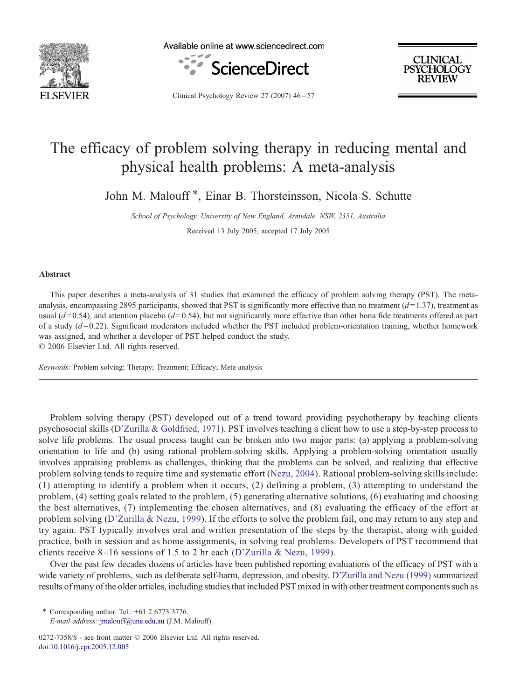

Available online at www.sciencedirect.com



**CLINICAL PSYCHOLOGY REVIEW** 

Clinical Psychology Review 27 (2007) 46–57

# The efficacy of problem solving therapy in reducing mental and physical health problems: A meta-analysis

John M. Malouff<sup>\*</sup>, Einar B. Thorsteinsson, Nicola S. Schutte

School of Psychology, University of New England, Armidale, NSW, 2351, Australia

Received 13 July 2005; accepted 17 July 2005

#### Abstract

This paper describes a meta-analysis of 31 studies that examined the efficacy of problem solving therapy (PST). The metaanalysis, encompassing 2895 participants, showed that PST is significantly more effective than no treatment  $(d=1.37)$ , treatment as usual  $(d= 0.54)$ , and attention placebo  $(d= 0.54)$ , but not significantly more effective than other bona fide treatments offered as part of a study  $(d=0.22)$ . Significant moderators included whether the PST included problem-orientation training, whether homework was assigned, and whether a developer of PST helped conduct the study. © 2006 Elsevier Ltd. All rights reserved.

Keywords: Problem solving; Therapy; Treatment; Efficacy; Meta-analysis

Problem solving therapy (PST) developed out of a trend toward providing psychotherapy by teaching clients psychosocial skills [\(D'Zurilla & Goldfried, 1971](#page-9-0)). PST involves teaching a client how to use a step-by-step process to solve life problems. The usual process taught can be broken into two major parts: (a) applying a problem-solving orientation to life and (b) using rational problem-solving skills. Applying a problem-solving orientation usually involves appraising problems as challenges, thinking that the problems can be solved, and realizing that effective problem solving tends to require time and systematic effort ([Nezu, 2004](#page-10-0)). Rational problem-solving skills include: (1) attempting to identify a problem when it occurs, (2) defining a problem, (3) attempting to understand the problem, (4) setting goals related to the problem, (5) generating alternative solutions, (6) evaluating and choosing the best alternatives, (7) implementing the chosen alternatives, and (8) evaluating the efficacy of the effort at problem solving [\(D'Zurilla & Nezu, 1999\)](#page-9-0). If the efforts to solve the problem fail, one may return to any step and try again. PST typically involves oral and written presentation of the steps by the therapist, along with guided practice, both in session and as home assignments, in solving real problems. Developers of PST recommend that clients receive 8–16 sessions of 1.5 to 2 hr each ([D'Zurilla & Nezu, 1999](#page-9-0)).

Over the past few decades dozens of articles have been published reporting evaluations of the efficacy of PST with a wide variety of problems, such as deliberate self-harm, depression, and obesity. [D'Zurilla and Nezu \(1999\)](#page-9-0) summarized results of many of the older articles, including studies that included PST mixed in with other treatment components such as

⁎ Corresponding author. Tel.: +61 2 6773 3776.

E-mail address: [jmalouff@une.edu.au](mailto:jmalouff@une.edu.au) (J.M. Malouff).

<sup>0272-7358/\$ -</sup> see front matter © 2006 Elsevier Ltd. All rights reserved. doi:[10.1016/j.cpr.2005.12.005](http://dx.doi.org/10.1016/j.cpr.2005.12.005)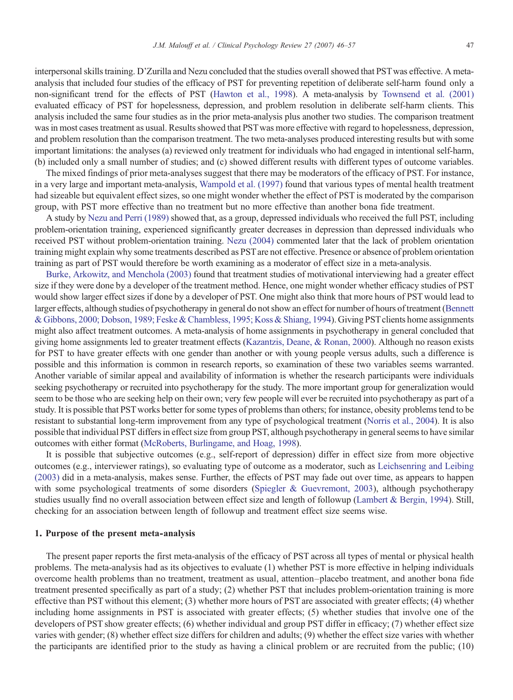interpersonal skills training. D'Zurilla and Nezu concluded that the studies overall showed that PSTwas effective. A metaanalysis that included four studies of the efficacy of PST for preventing repetition of deliberate self-harm found only a non-significant trend for the effects of PST [\(Hawton et al., 1998](#page-10-0)). A meta-analysis by [Townsend et al. \(2001\)](#page-11-0) evaluated efficacy of PST for hopelessness, depression, and problem resolution in deliberate self-harm clients. This analysis included the same four studies as in the prior meta-analysis plus another two studies. The comparison treatment was in most cases treatment as usual. Results showed that PST was more effective with regard to hopelessness, depression, and problem resolution than the comparison treatment. The two meta-analyses produced interesting results but with some important limitations: the analyses (a) reviewed only treatment for individuals who had engaged in intentional self-harm, (b) included only a small number of studies; and (c) showed different results with different types of outcome variables.

The mixed findings of prior meta-analyses suggest that there may be moderators of the efficacy of PST. For instance, in a very large and important meta-analysis, [Wampold et al. \(1997\)](#page-11-0) found that various types of mental health treatment had sizeable but equivalent effect sizes, so one might wonder whether the effect of PST is moderated by the comparison group, with PST more effective than no treatment but no more effective than another bona fide treatment.

A study by [Nezu and Perri \(1989\)](#page-10-0) showed that, as a group, depressed individuals who received the full PST, including problem-orientation training, experienced significantly greater decreases in depression than depressed individuals who received PST without problem-orientation training. [Nezu \(2004\)](#page-10-0) commented later that the lack of problem orientation training might explain why some treatments described as PST are not effective. Presence or absence of problem orientation training as part of PST would therefore be worth examining as a moderator of effect size in a meta-analysis.

[Burke, Arkowitz, and Menchola \(2003\)](#page-9-0) found that treatment studies of motivational interviewing had a greater effect size if they were done by a developer of the treatment method. Hence, one might wonder whether efficacy studies of PST would show larger effect sizes if done by a developer of PST. One might also think that more hours of PST would lead to larger effects, although studies of psychotherapy in general do not show an effect for number of hours of treatment ([Bennett](#page-9-0) [& Gibbons, 2000; Dobson, 1989; Feske & Chambless, 1995; Koss & Shiang, 1994\)](#page-9-0). Giving PSTclients home assignments might also affect treatment outcomes. A meta-analysis of home assignments in psychotherapy in general concluded that giving home assignments led to greater treatment effects [\(Kazantzis, Deane, & Ronan, 2000\)](#page-10-0). Although no reason exists for PST to have greater effects with one gender than another or with young people versus adults, such a difference is possible and this information is common in research reports, so examination of these two variables seems warranted. Another variable of similar appeal and availability of information is whether the research participants were individuals seeking psychotherapy or recruited into psychotherapy for the study. The more important group for generalization would seem to be those who are seeking help on their own; very few people will ever be recruited into psychotherapy as part of a study. It is possible that PST works better for some types of problems than others; for instance, obesity problems tend to be resistant to substantial long-term improvement from any type of psychological treatment ([Norris et al., 2004](#page-10-0)). It is also possible that individual PST differs in effect size from group PST, although psychotherapy in general seems to have similar outcomes with either format ([McRoberts, Burlingame, and Hoag, 1998](#page-10-0)).

It is possible that subjective outcomes (e.g., self-report of depression) differ in effect size from more objective outcomes (e.g., interviewer ratings), so evaluating type of outcome as a moderator, such as [Leichsenring and Leibing](#page-10-0) [\(2003\)](#page-10-0) did in a meta-analysis, makes sense. Further, the effects of PST may fade out over time, as appears to happen with some psychological treatments of some disorders [\(Spiegler & Guevremont, 2003](#page-11-0)), although psychotherapy studies usually find no overall association between effect size and length of followup [\(Lambert & Bergin, 1994](#page-10-0)). Still, checking for an association between length of followup and treatment effect size seems wise.

#### 1. Purpose of the present meta-analysis

The present paper reports the first meta-analysis of the efficacy of PST across all types of mental or physical health problems. The meta-analysis had as its objectives to evaluate (1) whether PST is more effective in helping individuals overcome health problems than no treatment, treatment as usual, attention–placebo treatment, and another bona fide treatment presented specifically as part of a study; (2) whether PST that includes problem-orientation training is more effective than PST without this element; (3) whether more hours of PST are associated with greater effects; (4) whether including home assignments in PST is associated with greater effects; (5) whether studies that involve one of the developers of PST show greater effects; (6) whether individual and group PST differ in efficacy; (7) whether effect size varies with gender; (8) whether effect size differs for children and adults; (9) whether the effect size varies with whether the participants are identified prior to the study as having a clinical problem or are recruited from the public; (10)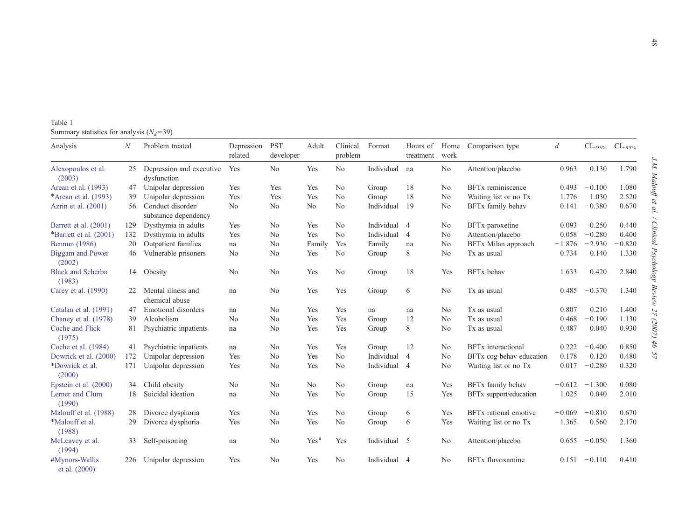<span id="page-2-0"></span>

| Table 1 |
|---------|
|---------|

## Summary statistics for analysis  $(N_d=39)$

| Analysis                           | N   | Problem treated                           | Depression<br>related | <b>PST</b><br>developer | Adult            | Clinical<br>problem | Format       | Hours of<br>treatment | Home<br>work   | Comparison type             | $\overline{d}$ |          | $CI_{-95\%}$ $CI_{+95\%}$ |
|------------------------------------|-----|-------------------------------------------|-----------------------|-------------------------|------------------|---------------------|--------------|-----------------------|----------------|-----------------------------|----------------|----------|---------------------------|
| Alexopoulos et al.<br>(2003)       | 25  | Depression and executive<br>dysfunction   | Yes                   | No                      | Yes              | N <sub>o</sub>      | Individual   | na                    | No             | Attention/placebo           | 0.963          | 0.130    | 1.790                     |
| Arean et al. (1993)                | 47  | Unipolar depression                       | Yes                   | Yes                     | Yes              | No                  | Group        | 18                    | No             | <b>BFTx</b> reminiscence    | 0.493          | $-0.100$ | 1.080                     |
| *Arean et al. (1993)               | 39  | Unipolar depression                       | Yes                   | Yes                     | Yes              | N <sub>0</sub>      | Group        | 18                    | No             | Waiting list or no Tx       | 1.776          | 1.030    | 2.520                     |
| Azrin et al. (2001)                | 56  | Conduct disorder/<br>substance dependency | N <sub>0</sub>        | N <sub>0</sub>          | N <sub>0</sub>   | No                  | Individual   | 19                    | No             | BFTx family behav           | 0.141          | $-0.380$ | 0.670                     |
| Barrett et al. (2001)              | 129 | Dysthymia in adults                       | Yes                   | N <sub>0</sub>          | Yes              | N <sub>o</sub>      | Individual   | $\overline{4}$        | N <sub>0</sub> | BFT <sub>x</sub> paroxetine | 0.093          | $-0.250$ | 0.440                     |
| *Barrett et al. $(2001)$           | 132 | Dysthymia in adults                       | Yes                   | No                      | Yes              | N <sub>o</sub>      | Individual   | $\overline{4}$        | No             | Attention/placebo           | 0.058          | $-0.280$ | 0.400                     |
| <b>Bennun</b> (1986)               | 20  | <b>Outpatient families</b>                | na                    | No                      | Family           | Yes                 | Family       | na                    | No             | BFTx Milan approach         | $-1.876$       | $-2.930$ | $-0.820$                  |
| <b>Biggam and Power</b><br>(2002)  | 46  | Vulnerable prisoners                      | No                    | No                      | Yes              | No                  | Group        | 8                     | N <sub>o</sub> | Tx as usual                 | 0.734          | 0.140    | 1.330                     |
| <b>Black and Scherba</b><br>(1983) | 14  | Obesity                                   | No                    | N <sub>0</sub>          | Yes              | N <sub>0</sub>      | Group        | 18                    | Yes            | <b>BFTx</b> behav           | 1.633          | 0.420    | 2.840                     |
| Carey et al. (1990)                | 22  | Mental illness and<br>chemical abuse      | na                    | No                      | Yes              | Yes                 | Group        | 6                     | No             | Tx as usual                 | 0.485          | $-0.370$ | 1.340                     |
| Catalan et al. (1991)              | 47  | <b>Emotional disorders</b>                | na                    | No                      | Yes              | Yes                 | na           | na                    | No             | Tx as usual                 | 0.807          | 0.210    | 1.400                     |
| Chaney et al. (1978)               | 39  | Alcoholism                                | No                    | No                      | Yes              | Yes                 | Group        | 12                    | No             | Tx as usual                 | 0.468          | $-0.190$ | 1.130                     |
| Coche and Flick<br>(1975)          | 81  | Psychiatric inpatients                    | na                    | No                      | Yes              | Yes                 | Group        | 8                     | No             | Tx as usual                 | 0.487          | 0.040    | 0.930                     |
| Coche et al. (1984)                | 41  | Psychiatric inpatients                    | na                    | No                      | Yes              | Yes                 | Group        | 12                    | No             | <b>BFTx</b> interactional   | 0.222          | $-0.400$ | 0.850                     |
| Dowrick et al. (2000)              | 172 | Unipolar depression                       | Yes                   | N <sub>0</sub>          | Yes              | No                  | Individual   | $\overline{4}$        | N <sub>0</sub> | BFTx cog-behav education    | 0.178          | $-0.120$ | 0.480                     |
| *Dowrick et al.<br>(2000)          | 171 | Unipolar depression                       | Yes                   | N <sub>0</sub>          | Yes              | N <sub>o</sub>      | Individual   | $\overline{4}$        | No             | Waiting list or no Tx       | 0.017          | $-0.280$ | 0.320                     |
| Epstein et al. (2000)              | 34  | Child obesity                             | N <sub>0</sub>        | N <sub>0</sub>          | No               | No                  | Group        | na                    | Yes            | BFTx family behav           | $-0.612$       | $-1.300$ | 0.080                     |
| Lerner and Clum<br>(1990)          | 18  | Suicidal ideation                         | na                    | N <sub>0</sub>          | Yes              | N <sub>0</sub>      | Group        | 15                    | Yes            | BFTx support/education      | 1.025          | 0.040    | 2.010                     |
| Malouff et al. (1988)              | 28  | Divorce dysphoria                         | Yes                   | N <sub>0</sub>          | Yes              | No                  | Group        | 6                     | Yes            | BFTx rational emotive       | $-0.069$       | $-0.810$ | 0.670                     |
| *Malouff et al.<br>(1988)          | 29  | Divorce dysphoria                         | Yes                   | No                      | Yes              | N <sub>0</sub>      | Group        | 6                     | Yes            | Waiting list or no Tx       | 1.365          | 0.560    | 2.170                     |
| McLeavey et al.<br>(1994)          | 33  | Self-poisoning                            | na                    | N <sub>0</sub>          | Yes <sup>a</sup> | Yes                 | Individual 5 |                       | No             | Attention/placebo           | 0.655          | $-0.050$ | 1.360                     |
| #Mynors-Wallis<br>et al. (2000)    | 226 | Unipolar depression                       | Yes                   | N <sub>0</sub>          | Yes              | No                  | Individual   | $\overline{4}$        | N <sub>0</sub> | BFTx fluvoxamine            | 0.151          | $-0.110$ | 0.410                     |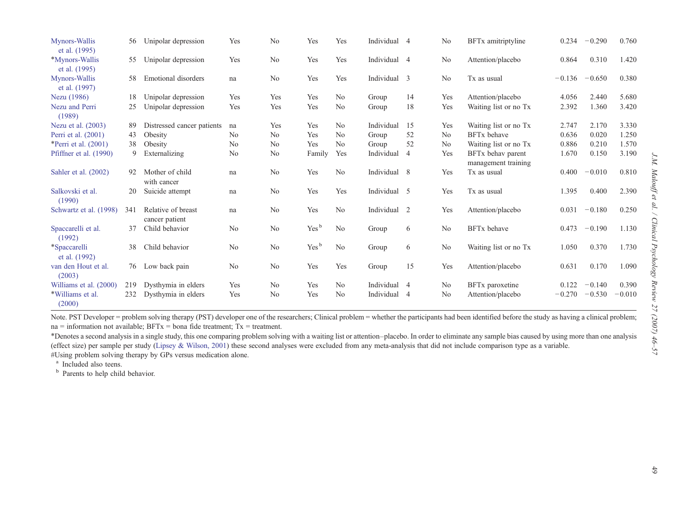| Mynors-Wallis<br>et al. (1995)  | 56  | Unipolar depression                  | Yes            | N <sub>0</sub> | Yes              | Yes            | Individual 4 |                | No             | BFTx amitriptyline                       | 0.234    | $-0.290$ | 0.760    |
|---------------------------------|-----|--------------------------------------|----------------|----------------|------------------|----------------|--------------|----------------|----------------|------------------------------------------|----------|----------|----------|
| *Mynors-Wallis<br>et al. (1995) | 55  | Unipolar depression                  | Yes            | N <sub>0</sub> | Yes              | Yes            | Individual 4 |                | No             | Attention/placebo                        | 0.864    | 0.310    | 1.420    |
| Mynors-Wallis<br>et al. (1997)  | 58  | Emotional disorders                  | na             | No             | Yes              | Yes            | Individual 3 |                | N <sub>0</sub> | Tx as usual                              | $-0.136$ | $-0.650$ | 0.380    |
| Nezu (1986)                     | 18  | Unipolar depression                  | Yes            | Yes            | Yes              | N <sub>0</sub> | Group        | 14             | Yes            | Attention/placebo                        | 4.056    | 2.440    | 5.680    |
| Nezu and Perri<br>(1989)        | 25  | Unipolar depression                  | Yes            | Yes            | Yes              | N <sub>0</sub> | Group        | 18             | Yes            | Waiting list or no Tx                    | 2.392    | 1.360    | 3.420    |
| Nezu et al. (2003)              | 89  | Distressed cancer patients           | na             | Yes            | Yes              | N <sub>0</sub> | Individual   | 15             | Yes            | Waiting list or no Tx                    | 2.747    | 2.170    | 3.330    |
| Perri et al. (2001)             | 43  | Obesity                              | N <sub>0</sub> | No             | Yes              | N <sub>0</sub> | Group        | 52             | No             | <b>BFTx</b> behave                       | 0.636    | 0.020    | 1.250    |
| *Perri et al. $(2001)$          | 38  | Obesity                              | N <sub>0</sub> | N <sub>0</sub> | Yes              | N <sub>0</sub> | Group        | 52             | N <sub>0</sub> | Waiting list or no Tx                    | 0.886    | 0.210    | 1.570    |
| Pfiffner et al. (1990)          | 9   | Externalizing                        | N <sub>0</sub> | No             | Family           | Yes            | Individual   | $\overline{4}$ | Yes            | BFTx behav parent<br>management training | 1.670    | 0.150    | 3.190    |
| Sahler et al. (2002)            | 92  | Mother of child<br>with cancer       | na             | No             | Yes              | N <sub>0</sub> | Individual 8 |                | Yes            | Tx as usual                              | 0.400    | $-0.010$ | 0.810    |
| Salkovski et al.<br>(1990)      | 20  | Suicide attempt                      | na             | N <sub>0</sub> | Yes              | Yes            | Individual 5 |                | Yes            | Tx as usual                              | 1.395    | 0.400    | 2.390    |
| Schwartz et al. (1998)          | 341 | Relative of breast<br>cancer patient | na             | No             | Yes              | No             | Individual 2 |                | Yes            | Attention/placebo                        | 0.031    | $-0.180$ | 0.250    |
| Spaccarelli et al.<br>(1992)    | 37  | Child behavior                       | N <sub>0</sub> | No             | Yes <sup>b</sup> | No             | Group        | 6              | N <sub>0</sub> | <b>BFTx</b> behave                       | 0.473    | $-0.190$ | 1.130    |
| *Spaccarelli<br>et al. (1992)   | 38  | Child behavior                       | N <sub>0</sub> | N <sub>0</sub> | Yes <sup>b</sup> | N <sub>0</sub> | Group        | 6              | N <sub>0</sub> | Waiting list or no Tx                    | 1.050    | 0.370    | 1.730    |
| van den Hout et al.<br>(2003)   |     | 76 Low back pain                     | No             | No             | Yes              | Yes            | Group        | 15             | Yes            | Attention/placebo                        | 0.631    | 0.170    | 1.090    |
| Williams et al. (2000)          | 219 | Dysthymia in elders                  | Yes            | N <sub>0</sub> | Yes              | N <sub>0</sub> | Individual   | $\overline{4}$ | No             | BFT <sub>x</sub> paroxetine              | 0.122    | $-0.140$ | 0.390    |
| *Williams et al.<br>(2000)      | 232 | Dysthymia in elders                  | Yes            | No             | Yes              | No             | Individual   | $\overline{4}$ | No             | Attention/placebo                        | $-0.270$ | $-0.530$ | $-0.010$ |

Note. PST Developer = problem solving therapy (PST) developer one of the researchers; Clinical problem = whether the participants had been identified before the study as having a clinical problem;  $na = information not available; BFTx = bona fide treatment; Tx = treatment.$ 

⁎Denotes <sup>a</sup> second analysis in <sup>a</sup> single study, this one comparing problem solving with <sup>a</sup> waiting list or attention–placebo. In order to eliminate any sample bias caused by using more than one analysis (effect size) per sample per study (Lipsey & [Wilson,](#page-10-0) 2001) these second analyses were excluded from any meta-analysis that did not include comparison type as <sup>a</sup> variable.

#Using problem solving therapy by GPs versus medication alone.

<sup>a</sup> Included also teens.

<sup>b</sup> Parents to help child behavior.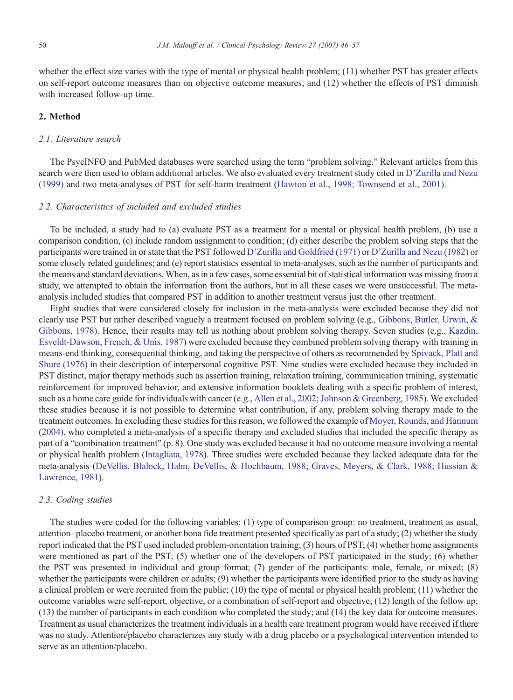whether the effect size varies with the type of mental or physical health problem; (11) whether PST has greater effects on self-report outcome measures than on objective outcome measures; and (12) whether the effects of PST diminish with increased follow-up time.

## 2. Method

### 2.1. Literature search

The PsycINFO and PubMed databases were searched using the term "problem solving." Relevant articles from this search were then used to obtain additional articles. We also evaluated every treatment study cited in [D'Zurilla and Nezu](#page-9-0) [\(1999\)](#page-9-0) and two meta-analyses of PST for self-harm treatment [\(Hawton et al., 1998; Townsend et al., 2001](#page-10-0)).

#### 2.2. Characteristics of included and excluded studies

To be included, a study had to (a) evaluate PST as a treatment for a mental or physical health problem, (b) use a comparison condition, (c) include random assignment to condition; (d) either describe the problem solving steps that the participants were trained in or state that the PST followed [D'Zurilla and Goldfried \(1971\)](#page-9-0) or [D'Zurilla and Nezu \(1982\)](#page-9-0) or some closely related guidelines; and (e) report statistics essential to meta-analyses, such as the number of participants and the means and standard deviations. When, as in a few cases, some essential bit of statistical information was missing from a study, we attempted to obtain the information from the authors, but in all these cases we were unsuccessful. The metaanalysis included studies that compared PST in addition to another treatment versus just the other treatment.

Eight studies that were considered closely for inclusion in the meta-analysis were excluded because they did not clearly use PST but rather described vaguely a treatment focused on problem solving (e.g., [Gibbons, Butler, Urwin, &](#page-10-0) [Gibbons, 1978](#page-10-0)). Hence, their results may tell us nothing about problem solving therapy. Seven studies (e.g., [Kazdin,](#page-10-0) [Esveldt-Dawson, French, & Unis, 1987\)](#page-10-0) were excluded because they combined problem solving therapy with training in means-end thinking, consequential thinking, and taking the perspective of others as recommended by [Spivack, Platt and](#page-11-0) [Shure \(1976\)](#page-11-0) in their description of interpersonal cognitive PST. Nine studies were excluded because they included in PST distinct, major therapy methods such as assertion training, relaxation training, communication training, systematic reinforcement for improved behavior, and extensive information booklets dealing with a specific problem of interest, such as a home care guide for individuals with cancer (e.g., [Allen et al., 2002; Johnson & Greenberg, 1985\)](#page-9-0). We excluded these studies because it is not possible to determine what contribution, if any, problem solving therapy made to the treatment outcomes. In excluding these studies for this reason, we followed the example of [Moyer, Rounds, and Hannum](#page-10-0) [\(2004\)](#page-10-0), who completed a meta-analysis of a specific therapy and excluded studies that included the specific therapy as part of a "combination treatment" (p. 8). One study was excluded because it had no outcome measure involving a mental or physical health problem ([Intagliata, 1978\)](#page-10-0). Three studies were excluded because they lacked adequate data for the meta-analysis ([DeVellis, Blalock, Hahn, DeVellis, & Hochbaum, 1988; Graves, Meyers, & Clark, 1988; Hussian &](#page-9-0) [Lawrence, 1981\)](#page-9-0).

## 2.3. Coding studies

The studies were coded for the following variables: (1) type of comparison group: no treatment, treatment as usual, attention–placebo treatment, or another bona fide treatment presented specifically as part of a study; (2) whether the study report indicated that the PST used included problem-orientation training; (3) hours of PST; (4) whether home assignments were mentioned as part of the PST; (5) whether one of the developers of PST participated in the study; (6) whether the PST was presented in individual and group format; (7) gender of the participants: male, female, or mixed; (8) whether the participants were children or adults; (9) whether the participants were identified prior to the study as having a clinical problem or were recruited from the public; (10) the type of mental or physical health problem; (11) whether the outcome variables were self-report, objective, or a combination of self-report and objective; (12) length of the follow up; (13) the number of participants in each condition who completed the study; and (14) the key data for outcome measures. Treatment as usual characterizes the treatment individuals in a health care treatment program would have received if there was no study. Attention/placebo characterizes any study with a drug placebo or a psychological intervention intended to serve as an attention/placebo.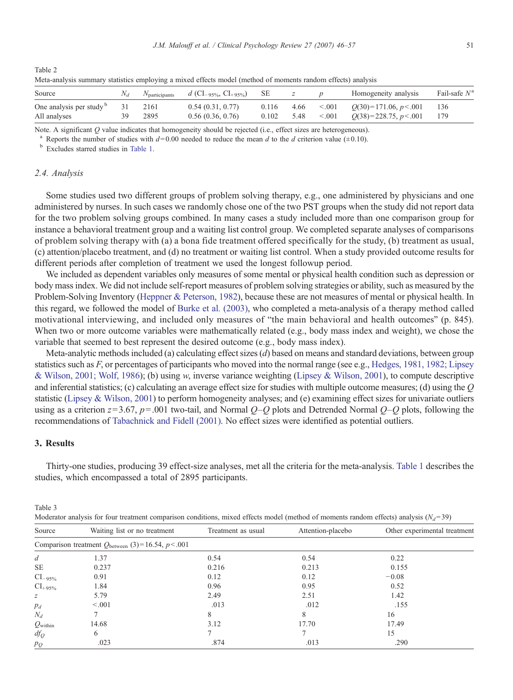<span id="page-5-0"></span>Table 2 Meta-analysis summary statistics employing a mixed effects model (method of moments random effects) analysis

| Source                              | $N_{\text{particinants}}$ | d (CL <sub>95%</sub> , CL <sub>+95%</sub> ) | -SE   |      |         | Homogeneity analysis   | Fail-safe $N^a$ |
|-------------------------------------|---------------------------|---------------------------------------------|-------|------|---------|------------------------|-----------------|
| One analysis per study <sup>o</sup> | 2161                      | 0.54(0.31, 0.77)                            | 0.116 | 4.66 | < 0.001 | $Q(30)=171.06, p<.001$ | 136             |
| All analyses                        | 2895                      | 0.56(0.36, 0.76)                            | 0.102 | 5.48 | < 0.001 | $Q(38)=228.75, p<.001$ | 179             |

Note. A significant Q value indicates that homogeneity should be rejected (i.e., effect sizes are heterogeneous).<br><sup>a</sup> Reports the number of studies with  $d=0.00$  needed to reduce the mean d to the d criterion value (±0.10

#### 2.4. Analysis

Some studies used two different groups of problem solving therapy, e.g., one administered by physicians and one administered by nurses. In such cases we randomly chose one of the two PST groups when the study did not report data for the two problem solving groups combined. In many cases a study included more than one comparison group for instance a behavioral treatment group and a waiting list control group. We completed separate analyses of comparisons of problem solving therapy with (a) a bona fide treatment offered specifically for the study, (b) treatment as usual, (c) attention/placebo treatment, and (d) no treatment or waiting list control. When a study provided outcome results for different periods after completion of treatment we used the longest followup period.

We included as dependent variables only measures of some mental or physical health condition such as depression or body mass index. We did not include self-report measures of problem solving strategies or ability, such as measured by the Problem-Solving Inventory ([Heppner & Peterson, 1982](#page-10-0)), because these are not measures of mental or physical health. In this regard, we followed the model of [Burke et al. \(2003\),](#page-9-0) who completed a meta-analysis of a therapy method called motivational interviewing, and included only measures of "the main behavioral and health outcomes" (p. 845). When two or more outcome variables were mathematically related (e.g., body mass index and weight), we chose the variable that seemed to best represent the desired outcome (e.g., body mass index).

Meta-analytic methods included (a) calculating effect sizes  $(d)$  based on means and standard deviations, between group statistics such as F, or percentages of participants who moved into the normal range (see e.g., [Hedges, 1981, 1982; Lipsey](#page-10-0) [& Wilson, 2001; Wolf, 1986](#page-10-0)); (b) using w, inverse variance weighting [\(Lipsey & Wilson, 2001](#page-10-0)), to compute descriptive and inferential statistics; (c) calculating an average effect size for studies with multiple outcome measures; (d) using the  $Q$ statistic [\(Lipsey & Wilson, 2001](#page-10-0)) to perform homogeneity analyses; and (e) examining effect sizes for univariate outliers using as a criterion  $z = 3.67$ ,  $p = .001$  two-tail, and Normal Q–Q plots and Detrended Normal Q–Q plots, following the recommendations of [Tabachnick and Fidell \(2001\)](#page-11-0). No effect sizes were identified as potential outliers.

#### 3. Results

Table 3

Thirty-one studies, producing 39 effect-size analyses, met all the criteria for the meta-analysis. [Table 1](#page-2-0) describes the studies, which encompassed a total of 2895 participants.

| Moderator analysis for four treatment comparison conditions, mixed effects model (method of moments random effects) analysis ( $N_d$ =39) |                                                       |                                         |       |                              |  |  |  |  |  |
|-------------------------------------------------------------------------------------------------------------------------------------------|-------------------------------------------------------|-----------------------------------------|-------|------------------------------|--|--|--|--|--|
| Source                                                                                                                                    | Waiting list or no treatment                          | Attention-placebo<br>Treatment as usual |       | Other experimental treatment |  |  |  |  |  |
|                                                                                                                                           | Comparison treatment $Q_{between}$ (3)=16.54, p < 001 |                                         |       |                              |  |  |  |  |  |
| d                                                                                                                                         | 1.37                                                  | 0.54                                    | 0.54  | 0.22                         |  |  |  |  |  |
| <b>SE</b>                                                                                                                                 | 0.237                                                 | 0.216                                   | 0.213 | 0.155                        |  |  |  |  |  |
| $CI_{-95\%}$                                                                                                                              | 0.91                                                  | 0.12                                    | 0.12  | $-0.08$                      |  |  |  |  |  |
| $CI_{+95\%}$                                                                                                                              | 1.84                                                  | 0.96                                    | 0.95  | 0.52                         |  |  |  |  |  |
| $\mathbb{Z}$                                                                                                                              | 5.79                                                  | 2.49                                    | 2.51  | 1.42                         |  |  |  |  |  |
| $p_d$                                                                                                                                     | < 0.001                                               | .013                                    | .012  | .155                         |  |  |  |  |  |
| $N_d$                                                                                                                                     |                                                       | 8                                       | 8     | 16                           |  |  |  |  |  |
| $Q_{\text{within}}$                                                                                                                       | 14.68                                                 | 3.12                                    | 17.70 | 17.49                        |  |  |  |  |  |
| $df_{O}$                                                                                                                                  | 6                                                     |                                         |       | 15                           |  |  |  |  |  |

 $p_Q$  .023 .290 .874 .013 .290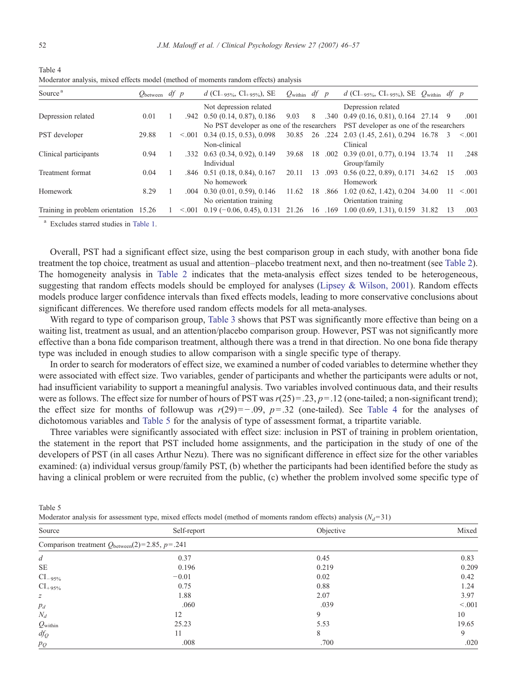| Table 4 |                                                                                     |  |
|---------|-------------------------------------------------------------------------------------|--|
|         | Moderator analysis, mixed effects model (method of moments random effects) analysis |  |

| Source <sup>a</sup>                   | $Q_{between}$ df $p$ |  | d (CL <sub>-95%</sub> , Cl <sub>+95%</sub> ), SE                                       | $Q_{\text{within}}$ df p |    |         | d (CL <sub>95%</sub> , CI <sub>+95%</sub> ), SE $Q_{within}$ df p |                         |                |
|---------------------------------------|----------------------|--|----------------------------------------------------------------------------------------|--------------------------|----|---------|-------------------------------------------------------------------|-------------------------|----------------|
|                                       |                      |  | Not depression related                                                                 |                          |    |         | Depression related                                                |                         |                |
| Depression related                    | 0.01                 |  | $.942 \quad 0.50 \ (0.14, 0.87), \ 0.186$                                              | 9.03                     |    |         | 8 .340 0.49 (0.16, 0.81), 0.164 27.14 9                           |                         | .001           |
|                                       |                      |  | No PST developer as one of the researchers PST developer as one of the researchers     |                          |    |         |                                                                   |                         |                |
| PST developer                         | 29.88                |  | $\leq 0.01$ 0.34 (0.15, 0.53), 0.098                                                   |                          |    |         | 30.85 26 .224 2.03 (1.45, 2.61), 0.294 16.78                      | $\overline{\mathbf{3}}$ | < 0.001        |
|                                       |                      |  | Non-clinical                                                                           |                          |    |         | Clinical                                                          |                         |                |
| Clinical participants                 | 0.94                 |  | $.332 \quad 0.63 \ (0.34, 0.92), \ 0.149$                                              | 39.68                    | 18 |         | $.002$ 0.39 (0.01, 0.77), 0.194 13.74                             | - 11                    | .248           |
|                                       |                      |  | Individual                                                                             |                          |    |         | Group/family                                                      |                         |                |
| Treatment format                      | 0.04                 |  | $.846$ 0.51 (0.18, 0.84), 0.167                                                        | 20.11                    |    | 13 .093 | $0.56(0.22, 0.89), 0.171$ 34.62                                   | - 15                    | .003           |
|                                       |                      |  | No homework                                                                            |                          |    |         | Homework                                                          |                         |                |
| Homework                              | 8.29                 |  | $.004$ 0.30 (0.01, 0.59), 0.146                                                        | 11.62                    | 18 |         | $.866$ 1.02 (0.62, 1.42), 0.204 34.00                             |                         | $11 \le 0.001$ |
|                                       |                      |  | No orientation training                                                                |                          |    |         | Orientation training                                              |                         |                |
| Training in problem orientation 15.26 |                      |  | $\leq$ .001 0.19 ( $-0.06$ , 0.45), 0.131 21.26 16 .169 1.00 (0.69, 1.31), 0.159 31.82 |                          |    |         |                                                                   | - 13                    | .003           |

<sup>a</sup> Excludes starred studies in [Table 1.](#page-2-0)

Overall, PST had a significant effect size, using the best comparison group in each study, with another bona fide treatment the top choice, treatment as usual and attention–placebo treatment next, and then no-treatment (see [Table 2\)](#page-5-0). The homogeneity analysis in [Table 2](#page-5-0) indicates that the meta-analysis effect sizes tended to be heterogeneous, suggesting that random effects models should be employed for analyses ([Lipsey & Wilson, 2001](#page-10-0)). Random effects models produce larger confidence intervals than fixed effects models, leading to more conservative conclusions about significant differences. We therefore used random effects models for all meta-analyses.

With regard to type of comparison group, [Table 3](#page-5-0) shows that PST was significantly more effective than being on a waiting list, treatment as usual, and an attention/placebo comparison group. However, PST was not significantly more effective than a bona fide comparison treatment, although there was a trend in that direction. No one bona fide therapy type was included in enough studies to allow comparison with a single specific type of therapy.

In order to search for moderators of effect size, we examined a number of coded variables to determine whether they were associated with effect size. Two variables, gender of participants and whether the participants were adults or not, had insufficient variability to support a meaningful analysis. Two variables involved continuous data, and their results were as follows. The effect size for number of hours of PST was  $r(25) = .23$ ,  $p = .12$  (one-tailed; a non-significant trend); the effect size for months of followup was  $r(29) = -0.09$ ,  $p = 0.32$  (one-tailed). See Table 4 for the analyses of dichotomous variables and Table 5 for the analysis of type of assessment format, a tripartite variable.

Three variables were significantly associated with effect size: inclusion in PST of training in problem orientation, the statement in the report that PST included home assignments, and the participation in the study of one of the developers of PST (in all cases Arthur Nezu). There was no significant difference in effect size for the other variables examined: (a) individual versus group/family PST, (b) whether the participants had been identified before the study as having a clinical problem or were recruited from the public, (c) whether the problem involved some specific type of

| Source                                                | nouveau analysis for assessment type, inneed cricets model (method of moments fandom cricets) analysis (17) $\rightarrow$ 1)<br>Self-report | Objective | Mixed   |
|-------------------------------------------------------|---------------------------------------------------------------------------------------------------------------------------------------------|-----------|---------|
| Comparison treatment $Q_{between}(2)=2.85$ , $p=.241$ |                                                                                                                                             |           |         |
| $\boldsymbol{d}$                                      | 0.37                                                                                                                                        | 0.45      | 0.83    |
| <b>SE</b>                                             | 0.196                                                                                                                                       | 0.219     | 0.209   |
|                                                       | $-0.01$                                                                                                                                     | 0.02      | 0.42    |
| $CI_{-95\%}$<br>$CI_{+95\%}$                          | 0.75                                                                                                                                        | 0.88      | 1.24    |
| $\boldsymbol{Z}$                                      | 1.88                                                                                                                                        | 2.07      | 3.97    |
| $p_d$                                                 | .060                                                                                                                                        | .039      | < 0.001 |
| $N_d$                                                 | 12                                                                                                                                          | 9         | 10      |
| $Q_{\text{within}}$                                   | 25.23                                                                                                                                       | 5.53      | 19.65   |
| $df_Q$                                                | 11                                                                                                                                          | 8         | 9       |
| $p_{Q}$                                               | .008                                                                                                                                        | .700      | .020    |

Table 5 Moderator analysis for assessment type, mixed effects model (method of moments random effects) analysis  $(N=31)$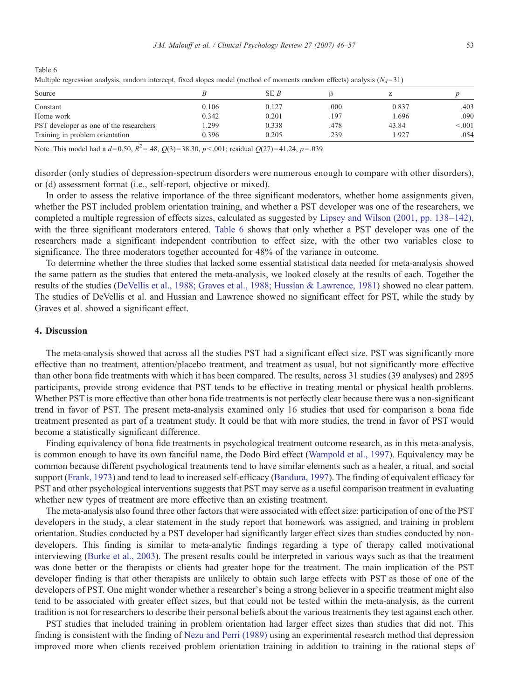| Source                                  |       | SE B  |      |       |         |
|-----------------------------------------|-------|-------|------|-------|---------|
| Constant                                | 0.106 | 0.127 | .000 | 0.837 | .403    |
| Home work                               | 0.342 | 0.201 | .197 | 1.696 | .090    |
| PST developer as one of the researchers | .299  | 0.338 | .478 | 43.84 | < 0.001 |
| Training in problem orientation         | 0.396 | 0.205 | .239 | 1.927 | .054    |

Multiple regression analysis, random intercept, fixed slopes model (method of moments random effects) analysis ( $N_d$ = 31)

Note. This model had a  $d=0.50$ ,  $R^2 = .48$ ,  $Q(3)=38.30$ ,  $p<.001$ ; residual  $Q(27)=41.24$ ,  $p=.039$ .

disorder (only studies of depression-spectrum disorders were numerous enough to compare with other disorders), or (d) assessment format (i.e., self-report, objective or mixed).

In order to assess the relative importance of the three significant moderators, whether home assignments given, whether the PST included problem orientation training, and whether a PST developer was one of the researchers, we completed a multiple regression of effects sizes, calculated as suggested by [Lipsey and Wilson \(2001, pp. 138](#page-10-0)–142), with the three significant moderators entered. Table 6 shows that only whether a PST developer was one of the researchers made a significant independent contribution to effect size, with the other two variables close to significance. The three moderators together accounted for 48% of the variance in outcome.

To determine whether the three studies that lacked some essential statistical data needed for meta-analysis showed the same pattern as the studies that entered the meta-analysis, we looked closely at the results of each. Together the results of the studies [\(DeVellis et al., 1988; Graves et al., 1988; Hussian & Lawrence, 1981](#page-9-0)) showed no clear pattern. The studies of DeVellis et al. and Hussian and Lawrence showed no significant effect for PST, while the study by Graves et al. showed a significant effect.

#### 4. Discussion

Table 6

The meta-analysis showed that across all the studies PST had a significant effect size. PST was significantly more effective than no treatment, attention/placebo treatment, and treatment as usual, but not significantly more effective than other bona fide treatments with which it has been compared. The results, across 31 studies (39 analyses) and 2895 participants, provide strong evidence that PST tends to be effective in treating mental or physical health problems. Whether PST is more effective than other bona fide treatments is not perfectly clear because there was a non-significant trend in favor of PST. The present meta-analysis examined only 16 studies that used for comparison a bona fide treatment presented as part of a treatment study. It could be that with more studies, the trend in favor of PST would become a statistically significant difference.

Finding equivalency of bona fide treatments in psychological treatment outcome research, as in this meta-analysis, is common enough to have its own fanciful name, the Dodo Bird effect ([Wampold et al., 1997](#page-11-0)). Equivalency may be common because different psychological treatments tend to have similar elements such as a healer, a ritual, and social support ([Frank, 1973](#page-10-0)) and tend to lead to increased self-efficacy [\(Bandura, 1997](#page-9-0)). The finding of equivalent efficacy for PST and other psychological interventions suggests that PST may serve as a useful comparison treatment in evaluating whether new types of treatment are more effective than an existing treatment.

The meta-analysis also found three other factors that were associated with effect size: participation of one of the PST developers in the study, a clear statement in the study report that homework was assigned, and training in problem orientation. Studies conducted by a PST developer had significantly larger effect sizes than studies conducted by nondevelopers. This finding is similar to meta-analytic findings regarding a type of therapy called motivational interviewing ([Burke et al., 2003](#page-9-0)). The present results could be interpreted in various ways such as that the treatment was done better or the therapists or clients had greater hope for the treatment. The main implication of the PST developer finding is that other therapists are unlikely to obtain such large effects with PST as those of one of the developers of PST. One might wonder whether a researcher's being a strong believer in a specific treatment might also tend to be associated with greater effect sizes, but that could not be tested within the meta-analysis, as the current tradition is not for researchers to describe their personal beliefs about the various treatments they test against each other.

PST studies that included training in problem orientation had larger effect sizes than studies that did not. This finding is consistent with the finding of [Nezu and Perri \(1989\)](#page-10-0) using an experimental research method that depression improved more when clients received problem orientation training in addition to training in the rational steps of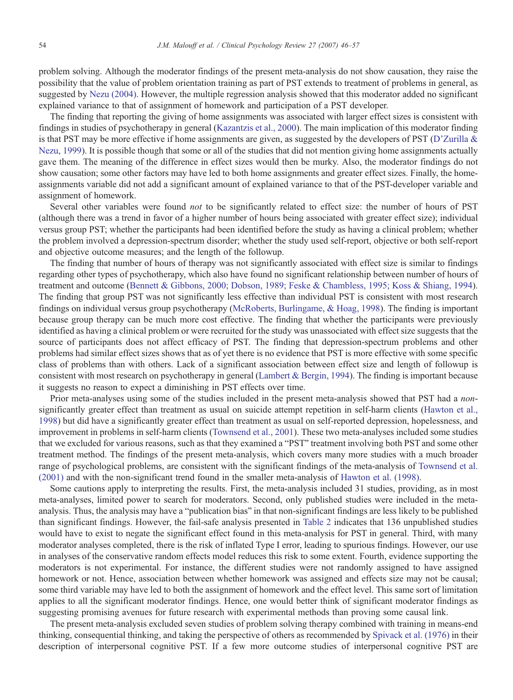problem solving. Although the moderator findings of the present meta-analysis do not show causation, they raise the possibility that the value of problem orientation training as part of PST extends to treatment of problems in general, as suggested by [Nezu \(2004\).](#page-10-0) However, the multiple regression analysis showed that this moderator added no significant explained variance to that of assignment of homework and participation of a PST developer.

The finding that reporting the giving of home assignments was associated with larger effect sizes is consistent with findings in studies of psychotherapy in general [\(Kazantzis et al., 2000\)](#page-10-0). The main implication of this moderator finding is that PST may be more effective if home assignments are given, as suggested by the developers of PST (D'Zurilla  $\&$ [Nezu, 1999\)](#page-9-0). It is possible though that some or all of the studies that did not mention giving home assignments actually gave them. The meaning of the difference in effect sizes would then be murky. Also, the moderator findings do not show causation; some other factors may have led to both home assignments and greater effect sizes. Finally, the homeassignments variable did not add a significant amount of explained variance to that of the PST-developer variable and assignment of homework.

Several other variables were found not to be significantly related to effect size: the number of hours of PST (although there was a trend in favor of a higher number of hours being associated with greater effect size); individual versus group PST; whether the participants had been identified before the study as having a clinical problem; whether the problem involved a depression-spectrum disorder; whether the study used self-report, objective or both self-report and objective outcome measures; and the length of the followup.

The finding that number of hours of therapy was not significantly associated with effect size is similar to findings regarding other types of psychotherapy, which also have found no significant relationship between number of hours of treatment and outcome ([Bennett & Gibbons, 2000; Dobson, 1989; Feske & Chambless, 1995; Koss & Shiang, 1994\)](#page-9-0). The finding that group PST was not significantly less effective than individual PST is consistent with most research findings on individual versus group psychotherapy ([McRoberts, Burlingame, & Hoag, 1998\)](#page-10-0). The finding is important because group therapy can be much more cost effective. The finding that whether the participants were previously identified as having a clinical problem or were recruited for the study was unassociated with effect size suggests that the source of participants does not affect efficacy of PST. The finding that depression-spectrum problems and other problems had similar effect sizes shows that as of yet there is no evidence that PST is more effective with some specific class of problems than with others. Lack of a significant association between effect size and length of followup is consistent with most research on psychotherapy in general ([Lambert & Bergin, 1994](#page-10-0)). The finding is important because it suggests no reason to expect a diminishing in PST effects over time.

Prior meta-analyses using some of the studies included in the present meta-analysis showed that PST had a *non*significantly greater effect than treatment as usual on suicide attempt repetition in self-harm clients [\(Hawton et al.,](#page-10-0) [1998](#page-10-0)) but did have a significantly greater effect than treatment as usual on self-reported depression, hopelessness, and improvement in problems in self-harm clients ([Townsend et al., 2001\)](#page-11-0). These two meta-analyses included some studies that we excluded for various reasons, such as that they examined a "PST" treatment involving both PST and some other treatment method. The findings of the present meta-analysis, which covers many more studies with a much broader range of psychological problems, are consistent with the significant findings of the meta-analysis of [Townsend et al.](#page-11-0) [\(2001\)](#page-11-0) and with the non-significant trend found in the smaller meta-analysis of [Hawton et al. \(1998\)](#page-10-0).

Some cautions apply to interpreting the results. First, the meta-analysis included 31 studies, providing, as in most meta-analyses, limited power to search for moderators. Second, only published studies were included in the metaanalysis. Thus, the analysis may have a "publication bias" in that non-significant findings are less likely to be published than significant findings. However, the fail-safe analysis presented in [Table 2](#page-5-0) indicates that 136 unpublished studies would have to exist to negate the significant effect found in this meta-analysis for PST in general. Third, with many moderator analyses completed, there is the risk of inflated Type I error, leading to spurious findings. However, our use in analyses of the conservative random effects model reduces this risk to some extent. Fourth, evidence supporting the moderators is not experimental. For instance, the different studies were not randomly assigned to have assigned homework or not. Hence, association between whether homework was assigned and effects size may not be causal; some third variable may have led to both the assignment of homework and the effect level. This same sort of limitation applies to all the significant moderator findings. Hence, one would better think of significant moderator findings as suggesting promising avenues for future research with experimental methods than proving some causal link.

The present meta-analysis excluded seven studies of problem solving therapy combined with training in means-end thinking, consequential thinking, and taking the perspective of others as recommended by [Spivack et al. \(1976\)](#page-11-0) in their description of interpersonal cognitive PST. If a few more outcome studies of interpersonal cognitive PST are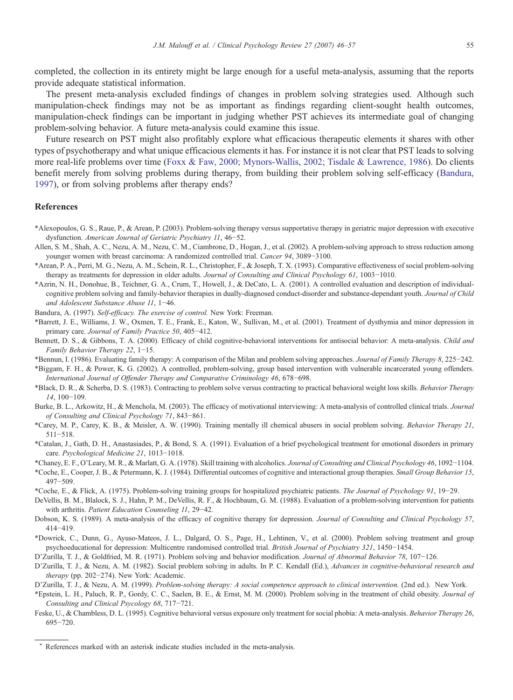<span id="page-9-0"></span>completed, the collection in its entirety might be large enough for a useful meta-analysis, assuming that the reports provide adequate statistical information.

The present meta-analysis excluded findings of changes in problem solving strategies used. Although such manipulation-check findings may not be as important as findings regarding client-sought health outcomes, manipulation-check findings can be important in judging whether PST achieves its intermediate goal of changing problem-solving behavior. A future meta-analysis could examine this issue.

Future research on PST might also profitably explore what efficacious therapeutic elements it shares with other types of psychotherapy and what unique efficacious elements it has. For instance it is not clear that PST leads to solving more real-life problems over time [\(Foxx & Faw, 2000; Mynors-Wallis, 2002; Tisdale & Lawrence, 1986\)](#page-10-0). Do clients benefit merely from solving problems during therapy, from building their problem solving self-efficacy (Bandura, 1997), or from solving problems after therapy ends?

#### **References**

- \*Alexopoulos, G. S., Raue, P., & Arean, P. (2003). Problem-solving therapy versus supportative therapy in geriatric major depression with executive dysfunction. American Journal of Geriatric Psychiatry 11, 46−52.
- Allen, S. M., Shah, A. C., Nezu, A. M., Nezu, C. M., Ciambrone, D., Hogan, J., et al. (2002). A problem-solving approach to stress reduction among younger women with breast carcinoma: A randomized controlled trial. Cancer 94, 3089−3100.
- \*Arean, P. A., Perri, M. G., Nezu, A. M., Schein, R. L., Christopher, F., & Joseph, T. X. (1993). Comparative effectiveness of social problem-solving therapy as treatments for depression in older adults. Journal of Consulting and Clinical Psychology 61, 1003−1010.
- \*Azrin, N. H., Donohue, B., Teichner, G. A., Crum, T., Howell, J., & DeCato, L. A. (2001). A controlled evaluation and description of individualcognitive problem solving and family-behavior therapies in dually-diagnosed conduct-disorder and substance-dependant youth. Journal of Child and Adolescent Substance Abuse 11, 1−46.

Bandura, A. (1997). Self-efficacy. The exercise of control. New York: Freeman.

- \*Barrett, J. E., Williams, J. W., Oxmen, T. E., Frank, E., Katon, W., Sullivan, M., et al. (2001). Treatment of dysthymia and minor depression in primary care. Journal of Family Practice 50, 405−412.
- Bennett, D. S., & Gibbons, T. A. (2000). Efficacy of child cognitive-behavioral interventions for antisocial behavior: A meta-analysis. Child and Family Behavior Therapy 22, 1−15.
- \*Bennun, I. (1986). Evaluating family therapy: A comparison of the Milan and problem solving approaches. Journal of Family Therapy 8, 225−242.
- \*Biggam, F. H., & Power, K. G. (2002). A controlled, problem-solving, group based intervention with vulnerable incarcerated young offenders. International Journal of Offender Therapy and Comparative Criminology 46, 678−698.
- \*Black, D. R., & Scherba, D. S. (1983). Contracting to problem solve versus contracting to practical behavioral weight loss skills. Behavior Therapy 14, 100−109.
- Burke, B. L., Arkowitz, H., & Menchola, M. (2003). The efficacy of motivational interviewing: A meta-analysis of controlled clinical trials. Journal of Consulting and Clinical Psychology 71, 843−861.
- \*Carey, M. P., Carey, K. B., & Meisler, A. W. (1990). Training mentally ill chemical abusers in social problem solving. Behavior Therapy 21, 511−518.
- \*Catalan, J., Gath, D. H., Anastasiades, P., & Bond, S. A. (1991). Evaluation of a brief psychological treatment for emotional disorders in primary care. Psychological Medicine 21, 1013−1018.
- \*Chaney, E. F., O'Leary, M. R., & Marlatt, G. A. (1978). Skill training with alcoholics. Journal of Consulting and Clinical Psychology 46, 1092−1104.
- \*Coche, E., Cooper, J. B., & Petermann, K. J. (1984). Differential outcomes of cognitive and interactional group therapies. Small Group Behavior 15, 497−509.
- \*Coche, E., & Flick, A. (1975). Problem-solving training groups for hospitalized psychiatric patients. The Journal of Psychology 91, 19−29.
- DeVellis, B. M., Blalock, S. J., Hahn, P. M., DeVellis, R. F., & Hochbaum, G. M. (1988). Evaluation of a problem-solving intervention for patients with arthritis. Patient Education Counseling 11, 29−42.
- Dobson, K. S. (1989). A meta-analysis of the efficacy of cognitive therapy for depression. Journal of Consulting and Clinical Psychology 57, 414−419.
- \*Dowrick, C., Dunn, G., Ayuso-Mateos, J. L., Dalgard, O. S., Page, H., Lehtinen, V., et al. (2000). Problem solving treatment and group psychoeducational for depression: Multicentre randomised controlled trial. British Journal of Psychiatry 321, 1450−1454.
- D'Zurilla, T. J., & Goldfried, M. R. (1971). Problem solving and behavior modification. Journal of Abnormal Behavior 78, 107−126.
- D'Zurilla, T. J., & Nezu, A. M. (1982). Social problem solving in adults. In P. C. Kendall (Ed.), Advances in cognitive-behavioral research and therapy (pp. 202−274). New York: Academic.
- D'Zurilla, T. J., & Nezu, A. M. (1999). Problem-solving therapy: A social competence approach to clinical intervention. (2nd ed.). New York.
- \*Epstein, L. H., Paluch, R. P., Gordy, C. C., Saelen, B. E., & Ernst, M. M. (2000). Problem solving in the treatment of child obesity. Journal of Consulting and Clinical Psycology 68, 717−721.
- Feske, U., & Chambless, D. L. (1995). Cognitive behavioral versus exposure only treatment for social phobia: A meta-analysis. Behavior Therapy 26, 695−720.

References marked with an asterisk indicate studies included in the meta-analysis.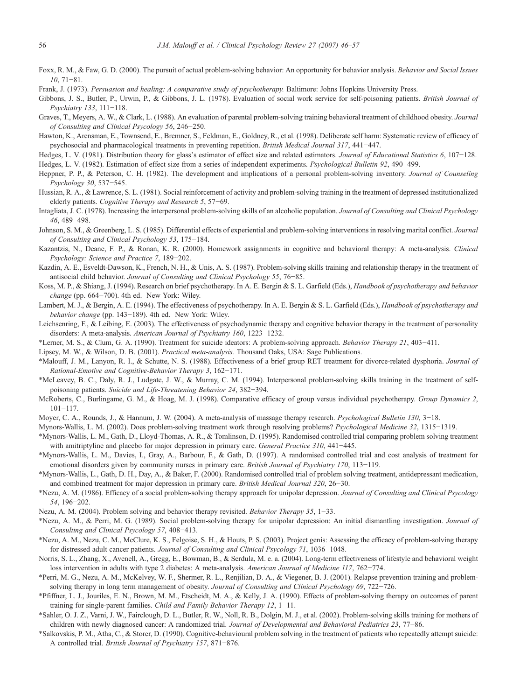<span id="page-10-0"></span>Foxx, R. M., & Faw, G. D. (2000). The pursuit of actual problem-solving behavior: An opportunity for behavior analysis. Behavior and Social Issues 10, 71−81.

Frank, J. (1973). Persuasion and healing: A comparative study of psychotherapy. Baltimore: Johns Hopkins University Press.

Gibbons, J. S., Butler, P., Urwin, P., & Gibbons, J. L. (1978). Evaluation of social work service for self-poisoning patients. British Journal of Psychiatry 133, 111−118.

Graves, T., Meyers, A. W., & Clark, L. (1988). An evaluation of parental problem-solving training behavioral treatment of childhood obesity. Journal of Consulting and Clinical Psycology 56, 246−250.

Hawton, K., Arensman, E., Townsend, E., Bremner, S., Feldman, E., Goldney, R., et al. (1998). Deliberate self harm: Systematic review of efficacy of psychosocial and pharmacological treatments in preventing repetition. British Medical Journal 317, 441−447.

Hedges, L. V. (1981). Distribution theory for glass's estimator of effect size and related estimators. Journal of Educational Statistics 6, 107-128. Hedges, L. V. (1982). Estimation of effect size from a series of independent experiments. Psychological Bulletin 92, 490−499.

Heppner, P. P., & Peterson, C. H. (1982). The development and implications of a personal problem-solving inventory. Journal of Counseling Psychology 30, 537−545.

- Hussian, R. A., & Lawrence, S. L. (1981). Social reinforcement of activity and problem-solving training in the treatment of depressed institutionalized elderly patients. Cognitive Therapy and Research 5, 57−69.
- Intagliata, J. C. (1978). Increasing the interpersonal problem-solving skills of an alcoholic population. Journal of Consulting and Clinical Psychology 46, 489−498.
- Johnson, S. M., & Greenberg, L. S. (1985). Differential effects of experiential and problem-solving interventions in resolving marital conflict. Journal of Consulting and Clinical Psychology 53, 175−184.
- Kazantzis, N., Deane, F. P., & Ronan, K. R. (2000). Homework assignments in cognitive and behavioral therapy: A meta-analysis. Clinical Psychology: Science and Practice 7, 189−202.
- Kazdin, A. E., Esveldt-Dawson, K., French, N. H., & Unis, A. S. (1987). Problem-solving skills training and relationship therapy in the treatment of antisocial child behavior. Journal of Consulting and Clinical Psychology 55, 76−85.
- Koss, M. P., & Shiang, J. (1994). Research on brief psychotherapy. In A. E. Bergin & S. L. Garfield (Eds.), Handbook of psychotherapy and behavior change (pp. 664−700). 4th ed. New York: Wiley.
- Lambert, M. J., & Bergin, A. E. (1994). The effectiveness of psychotherapy. In A. E. Bergin & S. L. Garfield (Eds.), *Handbook of psychotherapy and* behavior change (pp. 143−189). 4th ed. New York: Wiley.

Leichsenring, F., & Leibing, E. (2003). The effectiveness of psychodynamic therapy and cognitive behavior therapy in the treatment of personality disorders: A meta-analysis. American Journal of Psychiatry 160, 1223−1232.

\*Lerner, M. S., & Clum, G. A. (1990). Treatment for suicide ideators: A problem-solving approach. Behavior Therapy 21, 403−411.

Lipsey, M. W., & Wilson, D. B. (2001). *Practical meta-analysis*. Thousand Oaks, USA: Sage Publications.

- \*Malouff, J. M., Lanyon, R. I., & Schutte, N. S. (1988). Effectiveness of a brief group RET treatment for divorce-related dysphoria. Journal of Rational-Emotive and Cognitive-Behavior Therapy 3, 162−171.
- \*McLeavey, B. C., Daly, R. J., Ludgate, J. W., & Murray, C. M. (1994). Interpersonal problem-solving skills training in the treatment of selfpoisoning patients. Suicide and Life-Threatening Behavior 24, 382−394.
- McRoberts, C., Burlingame, G. M., & Hoag, M. J. (1998). Comparative efficacy of group versus individual psychotherapy. Group Dynamics 2, 101−117.

Moyer, C. A., Rounds, J., & Hannum, J. W. (2004). A meta-analysis of massage therapy research. Psychological Bulletin 130, 3−18.

Mynors-Wallis, L. M. (2002). Does problem-solving treatment work through resolving problems? Psychological Medicine 32, 1315−1319.

- \*Mynors-Wallis, L. M., Gath, D., Lloyd-Thomas, A. R., & Tomlinson, D. (1995). Randomised controlled trial comparing problem solving treatment with amitriptyline and placebo for major depression in primary care. General Practice 310, 441–445.
- \*Mynors-Wallis, L. M., Davies, I., Gray, A., Barbour, F., & Gath, D. (1997). A randomised controlled trial and cost analysis of treatment for emotional disorders given by community nurses in primary care. British Journal of Psychiatry 170, 113−119.
- \*Mynors-Wallis, L., Gath, D. H., Day, A., & Baker, F. (2000). Randomised controlled trial of problem solving treatment, antidepressant medication, and combined treatment for major depression in primary care. British Medical Journal 320, 26−30.
- \*Nezu, A. M. (1986). Efficacy of a social problem-solving therapy approach for unipolar depression. Journal of Consulting and Clinical Psycology 54, 196−202.
- Nezu, A. M. (2004). Problem solving and behavior therapy revisited. Behavior Therapy 35, 1–33.
- \*Nezu, A. M., & Perri, M. G. (1989). Social problem-solving therapy for unipolar depression: An initial dismantling investigation. Journal of Consulting and Clinical Psycology 57, 408−413.
- \*Nezu, A. M., Nezu, C. M., McClure, K. S., Felgoise, S. H., & Houts, P. S. (2003). Project genis: Assessing the efficacy of problem-solving therapy for distressed adult cancer patients. Journal of Consulting and Clinical Psycology 71, 1036−1048.
- Norris, S. L., Zhang, X., Avenell, A., Gregg, E., Bowman, B., & Serdula, M. e. a. (2004). Long-term effectiveness of lifestyle and behavioral weight loss intervention in adults with type 2 diabetes: A meta-analysis. American Journal of Medicine 117, 762−774.
- \*Perri, M. G., Nezu, A. M., McKelvey, W. F., Shermer, R. L., Renjilian, D. A., & Viegener, B. J. (2001). Relapse prevention training and problemsolving therapy in long term management of obesity. Journal of Consulting and Clinical Psychology 69, 722−726.
- \*Pfiffner, L. J., Jouriles, E. N., Brown, M. M., Etscheidt, M. A., & Kelly, J. A. (1990). Effects of problem-solving therapy on outcomes of parent training for single-parent families. Child and Family Behavior Therapy 12, 1−11.
- \*Sahler, O. J. Z., Varni, J. W., Fairclough, D. L., Butler, R. W., Noll, R. B., Dolgin, M. J., et al. (2002). Problem-solving skills training for mothers of children with newly diagnosed cancer: A randomized trial. Journal of Developmental and Behavioral Pediatrics 23, 77−86.
- \*Salkovskis, P. M., Atha, C., & Storer, D. (1990). Cognitive-behavioural problem solving in the treatment of patients who repeatedly attempt suicide: A controlled trial. British Journal of Psychiatry 157, 871−876.